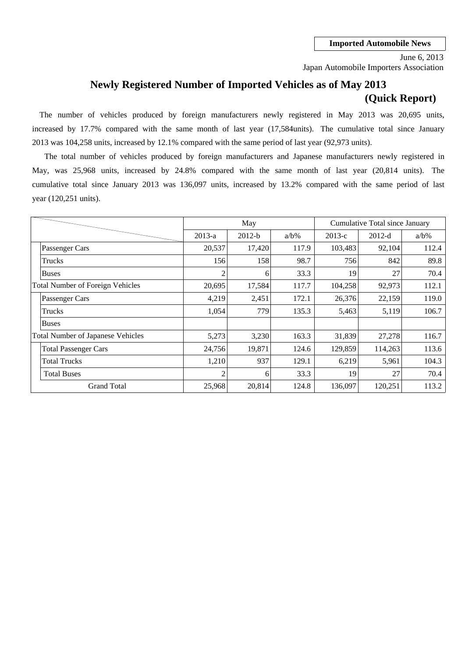Japan Automobile Importers Association June 6, 2013

# **Newly Registered Number of Imported Vehicles as of May 2013 (Quick Report)**

2013 was 104,258 units, increased by 12.1% compared with the same period of last year (92,973 units). The number of vehicles produced by foreign manufacturers newly registered in May 2013 was 20,695 units, increased by 17.7% compared with the same month of last year (17,584units). The cumulative total since January

cumulative total since January 2013 was 136,097 units, increased by 13.2% compared with the same period of last May, was 25,968 units, increased by 24.8% compared with the same month of last year (20,814 units). The year (120,251 units). The total number of vehicles produced by foreign manufacturers and Japanese manufacturers newly registered in

|                                         |                                          |                | May      |         | Cumulative Total since January |          |         |  |
|-----------------------------------------|------------------------------------------|----------------|----------|---------|--------------------------------|----------|---------|--|
|                                         |                                          | $2013-a$       | $2012-b$ | $a/b\%$ | $2013-c$                       | $2012-d$ | $a/b\%$ |  |
|                                         | Passenger Cars                           | 20,537         | 17,420   | 117.9   | 103,483                        | 92,104   | 112.4   |  |
|                                         | Trucks                                   | 156            | 158      | 98.7    | 756                            | 842      | 89.8    |  |
|                                         | <b>Buses</b>                             | $\overline{c}$ | 6        | 33.3    | 19                             | 27       | 70.4    |  |
| <b>Total Number of Foreign Vehicles</b> |                                          | 20.695         | 17,584   | 117.7   | 104,258                        | 92,973   | 112.1   |  |
|                                         | Passenger Cars                           | 4,219          | 2,451    | 172.1   | 26,376                         | 22,159   | 119.0   |  |
|                                         | Trucks                                   | 1,054          | 779      | 135.3   | 5,463                          | 5,119    | 106.7   |  |
|                                         | <b>Buses</b>                             |                |          |         |                                |          |         |  |
|                                         | <b>Total Number of Japanese Vehicles</b> | 5,273          | 3,230    | 163.3   | 31,839                         | 27,278   | 116.7   |  |
|                                         | <b>Total Passenger Cars</b>              | 24,756         | 19,871   | 124.6   | 129,859                        | 114,263  | 113.6   |  |
|                                         | <b>Total Trucks</b>                      | 1,210          | 937      | 129.1   | 6,219                          | 5,961    | 104.3   |  |
|                                         | <b>Total Buses</b>                       | $\mathcal{D}$  | 6        | 33.3    | 19                             | 27       | 70.4    |  |
|                                         | <b>Grand Total</b>                       | 25,968         | 20,814   | 124.8   | 136,097                        | 120,251  | 113.2   |  |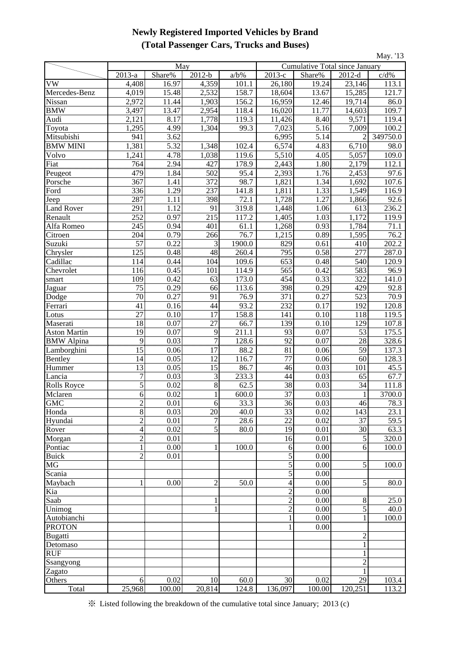## **Newly Registered Imported Vehicles by Brand (Total Passenger Cars, Trucks and Buses)**

| May. '13                     |                   |              |                                      |                      |                      |                                       |                 |                       |  |
|------------------------------|-------------------|--------------|--------------------------------------|----------------------|----------------------|---------------------------------------|-----------------|-----------------------|--|
|                              |                   | May          |                                      |                      |                      | <b>Cumulative Total since January</b> |                 |                       |  |
|                              | $2013-a$          | Share%       | $\overline{2012-b}$                  | $a/b\%$              | $\overline{2013}$ -c | Share%                                | $2012-d$        | c/d%                  |  |
| VW                           | 4,408             | 16.97        | 4,359                                | 101.1                | 26,180               | 19.24                                 | 23,146          | 113.1                 |  |
| Mercedes-Benz                | 4,019             | 15.48        | 2,532                                | 158.7                | 18,604               | 13.67                                 | 15,285          | 121.7                 |  |
| Nissan                       | 2,972             | 11.44        | 1,903                                | 156.2                | 16,959               | $\overline{12.46}$                    | 19,714          | 86.0                  |  |
| <b>BMW</b>                   | 3,497             | 13.47        | 2,954                                | 118.4                | 16,020               | 11.77                                 | 14,603          | 109.7                 |  |
| Audi                         | 2,121             | 8.17         | 1,778                                | 119.3                | 11,426               | 8.40                                  | 9,571           | 119.4                 |  |
| Toyota                       | 1,295             | 4.99         | 1,304                                | 99.3                 | 7,023                | 5.16                                  | 7,009           | 100.2                 |  |
| Mitsubishi                   | 941               | 3.62         |                                      |                      | 6,995                | 5.14                                  | 2               | 349750.0              |  |
| <b>BMW MINI</b>              | 1,381             | 5.32         | 1,348                                | 102.4                | 6,574                | 4.83                                  | 6,710           | 98.0                  |  |
| Volvo                        | 1,241             | 4.78         | 1,038                                | 119.6                | 5,510                | 4.05                                  | 5,057           | 109.0                 |  |
| Fiat                         | $\frac{764}{479}$ | 2.94         | 427<br><del></del>                   | 178.9                | 2,443                | 1.80                                  | 2,179           | 112.1                 |  |
| Peugeot                      |                   | 1.84         | 502                                  | 95.4                 | 2,393                | 1.76                                  | 2,453           | 97.6                  |  |
| Porsche                      | 367<br>336        | 1.41<br>1.29 | 372<br>237                           | 98.7<br>141.8        | 1,821                | 1.34<br>1.33                          | 1,692<br>1,549  | 107.6<br>116.9        |  |
| Ford                         | 287               | 1.11         | 398                                  | 72.1                 | 1,811<br>1,728       | 1.27                                  | 1,866           | 92.6                  |  |
| Jeep<br><b>Land Rover</b>    | 291               | 1.12         | 91                                   | 319.8                | 1,448                | 1.06                                  | 613             | 236.2                 |  |
| Renault                      | 252               | 0.97         | 215                                  | 117.2                | 1,405                | 1.03                                  | 1,172           | 119.9                 |  |
| Alfa Romeo                   | 245               | 0.94         | 401                                  | 61.1                 | 1,268                | 0.93                                  | 1,784           | 71.1                  |  |
| Citroen                      | 204               | 0.79         | 266                                  | 76.7                 | 1,215                | 0.89                                  | 1,595           | 76.2                  |  |
| Suzuki                       | $\overline{57}$   | 0.22         | 3                                    | 1900.0               | 829                  | 0.61                                  | 410             | 202.2                 |  |
| Chrysler                     | 125               | 0.48         | 48                                   | 260.4                | 795                  | 0.58                                  | 277             | 287.0                 |  |
| Cadillac                     | 114               | 0.44         | 104                                  | 109.6                | 653                  | 0.48                                  | 540             | 120.9                 |  |
| Chevrolet                    | 116               | 0.45         | 101                                  | 114.9                | 565                  | 0.42                                  | 583             | 96.9                  |  |
| smart                        | 109               | 0.42         | 63                                   | 173.0                | 454                  | 0.33                                  | 322             | 141.0                 |  |
| Jaguar                       | $\overline{75}$   | 0.29         | 66                                   | 113.6                | 398                  | 0.29                                  | 429             | 92.8                  |  |
| Dodge                        | 70                | 0.27         | 91                                   | 76.9                 | 371                  | 0.27                                  | 523             | 70.9                  |  |
| Ferrari                      | 41                | 0.16         | 44                                   | 93.2                 | 232                  | 0.17                                  | 192             | 120.8                 |  |
| Lotus                        | 27                | 0.10         | 17                                   | 158.8                | 141                  | 0.10                                  | 118             | 119.5                 |  |
| Maserati                     | 18                | 0.07         | $\overline{27}$                      | 66.7                 | 139                  | 0.10                                  | 129             | 107.8                 |  |
| <b>Aston Martin</b>          | 19                | 0.07         | 9                                    | 211.1                | 93                   | 0.07                                  | 53              | 175.5                 |  |
| <b>BMW</b> Alpina            | 9                 | 0.03         | $\overline{\overline{\overline{z}}}$ |                      | $\frac{92}{2}$       | 0.07                                  | $\frac{28}{2}$  |                       |  |
| Lamborghini                  | ասան<br>15        | 0.06         | 17                                   | $\frac{128.6}{88.2}$ | 81                   | 0.06                                  | 59              | $\frac{328.6}{137.3}$ |  |
| Bentley                      | 14                | 0.05         | 12                                   | 116.7                | 77                   | 0.06                                  | 60              | 128.3                 |  |
| Hummer                       | 13                | 0.05         | 15                                   | 86.7                 | 46                   | 0.03                                  | 101             | 45.5                  |  |
| Lancia                       | 7                 | 0.03         | 3                                    | 233.3                | 44                   | 0.03                                  | 65              | 67.7                  |  |
| <b>Rolls Royce</b>           | 5                 | 0.02         | 8                                    | 62.5                 | 38                   | 0.03                                  | 34              | 111.8                 |  |
| Mclaren                      | 6                 | 0.02         |                                      | 600.0                | 37                   | 0.03                                  | 1               | 3700.0                |  |
| GMC                          | 2                 | 0.01         | 6                                    | 33.3                 | 36                   | 0.03                                  | 46              | 78.3                  |  |
| Honda                        | $\overline{8}$    | 0.03         | $\overline{20}$                      | 40.0                 | 33                   | 0.02                                  | 143             | 23.1                  |  |
| Hyundai                      | $\overline{2}$    | 0.01         | $\overline{7}$                       | 28.6                 | 22                   | 0.02                                  | 37              | 59.5                  |  |
| Rover                        | $\overline{4}$    | 0.02         | $\overline{5}$                       | 80.0                 | 19                   | 0.01                                  | $\overline{30}$ | 63.3                  |  |
| Morgan                       | $\frac{1}{2}$     | 0.01         |                                      |                      | 16                   | 0.01                                  | 5               | 320.0                 |  |
| Pontiac                      | $\mathbf{1}$      | 0.00         | 1                                    | 100.0                | 6                    | 0.00                                  | 6               | 100.0                 |  |
| <b>Buick</b>                 | $\overline{2}$    | 0.01         |                                      |                      | 5                    | 0.00                                  |                 |                       |  |
| $\overline{\text{MG}}$       |                   |              |                                      |                      | 5                    | 0.00                                  | 5               | 100.0                 |  |
| Scania                       |                   |              |                                      |                      | $\mathfrak s$        | 0.00                                  |                 |                       |  |
| Maybach                      | 1                 | 0.00         | $\overline{2}$                       | 50.0                 | 4                    | 0.00                                  | 5               | 80.0                  |  |
| Kia                          |                   |              |                                      |                      | $\overline{c}$       | 0.00                                  |                 |                       |  |
| Saab                         |                   |              |                                      |                      | $\overline{c}$       | 0.00                                  | $\,8\,$         | 25.0                  |  |
| Unimog                       |                   |              |                                      |                      | $\overline{2}$       | 0.00                                  | $\overline{5}$  | 40.0                  |  |
| Autobianchi<br><b>PROTON</b> |                   |              |                                      |                      |                      | 0.00<br>0.00                          | $\mathbf{1}$    | 100.0                 |  |
| Bugatti                      |                   |              |                                      |                      |                      |                                       | 2               |                       |  |
| Detomaso                     |                   |              |                                      |                      |                      |                                       | $\mathbf{1}$    |                       |  |
| <b>RUF</b>                   |                   |              |                                      |                      |                      |                                       | 1               |                       |  |
| Ssangyong                    |                   |              |                                      |                      |                      |                                       | $\overline{2}$  |                       |  |
| Zagato                       |                   |              |                                      |                      |                      |                                       | $\mathbf{1}$    |                       |  |
| Others                       | 6                 | 0.02         | 10                                   | 60.0                 | 30                   | 0.02                                  | 29              | 103.4                 |  |
| Total                        | 25,968            | 100.00       | 20,814                               | 124.8                | 136,097              | 100.00                                | 120,251         | 113.2                 |  |
|                              |                   |              |                                      |                      |                      |                                       |                 |                       |  |

※ Listed following the breakdown of the cumulative total since January; 2013 (c)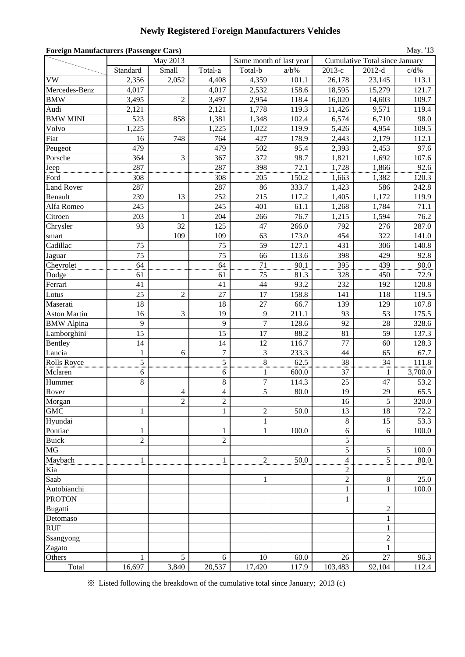### **Newly Registered Foreign Manufacturers Vehicles**

| <b>Foreign Manufacturers (Passenger Cars)</b><br>May. '13 |                |                |                  |                |                         |                |                                |         |  |  |  |
|-----------------------------------------------------------|----------------|----------------|------------------|----------------|-------------------------|----------------|--------------------------------|---------|--|--|--|
|                                                           |                | May 2013       |                  |                | Same month of last year |                | Cumulative Total since January |         |  |  |  |
|                                                           | Standard       | Small          | Total-a          | Total-b        | $a/b\%$                 | 2013-е         | $2012-d$                       | $c/d\%$ |  |  |  |
| <b>VW</b>                                                 | 2,356          | 2,052          | 4,408            | 4,359          | 101.1                   | 26,178         | 23,145                         | 113.1   |  |  |  |
| Mercedes-Benz                                             | 4,017          |                | 4,017            | 2,532          | 158.6                   | 18,595         | 15,279                         | 121.7   |  |  |  |
| <b>BMW</b>                                                | 3,495          | $\overline{2}$ | 3,497            | 2,954          | 118.4                   | 16,020         | 14,603                         | 109.7   |  |  |  |
| Audi                                                      | 2,121          |                | 2,121            | 1,778          | 119.3                   | 11,426         | 9,571                          | 119.4   |  |  |  |
| <b>BMW MINI</b>                                           | 523            | 858            | 1,381            | 1,348          | 102.4                   | 6,574          | 6,710                          | 98.0    |  |  |  |
| Volvo                                                     | 1,225          |                | 1,225            | 1,022          | 119.9                   | 5,426          | 4,954                          | 109.5   |  |  |  |
| Fiat                                                      | 16             | 748            | 764              | 427            | 178.9                   | 2,443          | 2,179                          | 112.1   |  |  |  |
| Peugeot                                                   | 479            |                | 479              | 502            | 95.4                    | 2,393          | 2,453                          | 97.6    |  |  |  |
| Porsche                                                   | 364            | $\mathfrak{Z}$ | 367              | 372            | 98.7                    | 1,821          | 1,692                          | 107.6   |  |  |  |
| Jeep                                                      | 287            |                | 287              | 398            | 72.1                    | 1,728          | 1,866                          | 92.6    |  |  |  |
| Ford                                                      | 308            |                | 308              | 205            | 150.2                   | 1,663          | 1,382                          | 120.3   |  |  |  |
| <b>Land Rover</b>                                         | 287            |                | 287              | 86             | 333.7                   | 1,423          | 586                            | 242.8   |  |  |  |
| Renault                                                   | 239            | 13             | 252              | 215            | 117.2                   | 1,405          | 1,172                          | 119.9   |  |  |  |
| Alfa Romeo                                                | 245            |                | 245              | 401            | 61.1                    | 1,268          | 1,784                          | 71.1    |  |  |  |
| Citroen                                                   | 203            | 1              | 204              | 266            | 76.7                    | 1,215          | 1,594                          | 76.2    |  |  |  |
| Chrysler                                                  | 93             | 32             | 125              | 47             | 266.0                   | 792            | 276                            | 287.0   |  |  |  |
| smart                                                     |                | 109            | 109              | 63             | 173.0                   | 454            | 322                            | 141.0   |  |  |  |
| Cadillac                                                  | 75             |                | 75               | 59             | 127.1                   | 431            | 306                            | 140.8   |  |  |  |
| Jaguar                                                    | 75             |                | 75               | 66             | 113.6                   | 398            | 429                            | 92.8    |  |  |  |
| Chevrolet                                                 | 64             |                | 64               | 71             | 90.1                    | 395            | 439                            | 90.0    |  |  |  |
| Dodge                                                     | 61             |                | 61               | 75             | 81.3                    | 328            | 450                            | 72.9    |  |  |  |
| Ferrari                                                   | 41             |                | 41               | 44             | 93.2                    | 232            | 192                            | 120.8   |  |  |  |
| Lotus                                                     | 25             | $\overline{c}$ | 27               | 17             | 158.8                   | 141            | 118                            | 119.5   |  |  |  |
| Maserati                                                  | 18             |                | 18               | 27             | 66.7                    | 139            | 129                            | 107.8   |  |  |  |
| <b>Aston Martin</b>                                       | 16             | 3              | 19               | 9              | 211.1                   | 93             | 53                             | 175.5   |  |  |  |
| <b>BMW</b> Alpina                                         | 9              |                | 9                | $\overline{7}$ | 128.6                   | 92             | 28                             | 328.6   |  |  |  |
| Lamborghini                                               | 15             |                | 15               | 17             | 88.2                    | 81             | 59                             | 137.3   |  |  |  |
| Bentley                                                   | 14             |                | 14               | 12             | 116.7                   | 77             | 60                             | 128.3   |  |  |  |
| Lancia                                                    | $\mathbf{1}$   | 6              | $\boldsymbol{7}$ | 3              | 233.3                   | 44             | 65                             | 67.7    |  |  |  |
| <b>Rolls Royce</b>                                        | 5              |                | 5                | 8              | 62.5                    | 38             | 34                             | 111.8   |  |  |  |
| Mclaren                                                   | 6              |                | $\boldsymbol{6}$ | $\mathbf{1}$   | 600.0                   | 37             | 1                              | 3,700.0 |  |  |  |
| Hummer                                                    | 8              |                | $\,8\,$          | $\tau$         | 114.3                   | 25             | 47                             | 53.2    |  |  |  |
| Rover                                                     |                | $\overline{4}$ | $\overline{4}$   | $\overline{5}$ | 80.0                    | 19             | 29                             | 65.5    |  |  |  |
| Morgan                                                    |                | 2              | $\overline{c}$   |                |                         | 16             | 5                              | 320.0   |  |  |  |
| <b>GMC</b>                                                | $\mathbf{1}$   |                | $\mathbf{1}$     | $\overline{c}$ | 50.0                    | 13             | 18                             | 72.2    |  |  |  |
| Hyundai                                                   |                |                |                  | $\mathbf{1}$   |                         | $\,8\,$        | 15                             | 53.3    |  |  |  |
| Pontiac                                                   | $\mathbf{1}$   |                | 1                | $\mathbf{1}$   | 100.0                   | $\sqrt{6}$     | 6                              | 100.0   |  |  |  |
| <b>Buick</b>                                              | $\overline{c}$ |                | $\overline{c}$   |                |                         | 5              |                                |         |  |  |  |
| MG                                                        |                |                |                  |                |                         | 5              | 5                              | 100.0   |  |  |  |
| Maybach                                                   | $\mathbf{1}$   |                | $\mathbf{1}$     | $\overline{c}$ | 50.0                    | 4              | 5                              | 80.0    |  |  |  |
| Kia                                                       |                |                |                  |                |                         | $\overline{c}$ |                                |         |  |  |  |
| Saab                                                      |                |                |                  | $\mathbf{1}$   |                         | $\overline{c}$ | $8\,$                          | 25.0    |  |  |  |
| Autobianchi                                               |                |                |                  |                |                         | 1              | 1                              | 100.0   |  |  |  |
| <b>PROTON</b>                                             |                |                |                  |                |                         | $\mathbf{1}$   |                                |         |  |  |  |
| Bugatti                                                   |                |                |                  |                |                         |                | $\overline{c}$                 |         |  |  |  |
| Detomaso                                                  |                |                |                  |                |                         |                | 1                              |         |  |  |  |
| <b>RUF</b>                                                |                |                |                  |                |                         |                | $\mathbf{1}$                   |         |  |  |  |
| Ssangyong                                                 |                |                |                  |                |                         |                | $\overline{c}$                 |         |  |  |  |
| Zagato                                                    |                |                |                  |                |                         |                | 1                              |         |  |  |  |
| Others                                                    | 1              | 5              | 6                | 10             | 60.0                    | 26             | 27                             | 96.3    |  |  |  |
| Total                                                     | 16,697         | 3,840          | 20,537           | 17,420         | 117.9                   | 103,483        | 92,104                         | 112.4   |  |  |  |

※ Listed following the breakdown of the cumulative total since January; 2013 (c)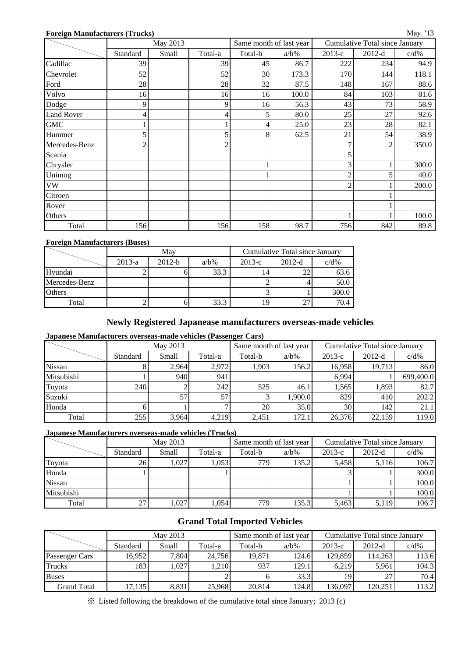#### **Foreign Manufacturers (Trucks)**

|                   |          | May 2013 |                |         | Same month of last year |                | Cumulative Total since January |         |
|-------------------|----------|----------|----------------|---------|-------------------------|----------------|--------------------------------|---------|
|                   | Standard | Small    | Total-a        | Total-b | $a/b\%$                 | $2013-c$       | $2012-d$                       | $c/d\%$ |
| Cadillac          | 39       |          | 39             | 45      | 86.7                    | 222            | 234                            | 94.9    |
| Chevrolet         | 52       |          | 52             | 30      | 173.3                   | 170            | 144                            | 118.1   |
| Ford              | 28       |          | 28             | 32      | 87.5                    | 148            | 167                            | 88.6    |
| Volvo             | 16       |          | 16             | 16      | 100.0                   | 84             | 103                            | 81.6    |
| Dodge             |          |          | 9              | 16      | 56.3                    | 43             | 73                             | 58.9    |
| <b>Land Rover</b> |          |          |                | 5       | 80.0                    | 25             | 27                             | 92.6    |
| <b>GMC</b>        |          |          |                | 4       | 25.0                    | 23             | 28                             | 82.1    |
| Hummer            |          |          | 5              | 8       | 62.5                    | 21             | 54                             | 38.9    |
| Mercedes-Benz     |          |          | $\mathfrak{D}$ |         |                         |                |                                | 350.0   |
| Scania            |          |          |                |         |                         |                |                                |         |
| Chrysler          |          |          |                |         |                         | 3              |                                | 300.0   |
| Unimog            |          |          |                |         |                         | ◠              |                                | 40.0    |
| <b>VW</b>         |          |          |                |         |                         | $\mathfrak{D}$ |                                | 200.0   |
| Citroen           |          |          |                |         |                         |                |                                |         |
| Rover             |          |          |                |         |                         |                |                                |         |
| Others            |          |          |                |         |                         |                |                                | 100.0   |
| Total             | 156      |          | 156            | 158     | 98.7                    | 756            | 842                            | 89.8    |

#### **Foreign Manufacturers (Buses)**

|               |          | May      |         | Cumulative Total since January |          |         |  |  |
|---------------|----------|----------|---------|--------------------------------|----------|---------|--|--|
|               | $2013-a$ | $2012-b$ | $a/b\%$ | $2013-c$                       | $2012-d$ | $c/d\%$ |  |  |
| Hyundai       |          |          | 33.3    |                                |          | 63.6    |  |  |
| Mercedes-Benz |          |          |         |                                |          | 50.0    |  |  |
| <b>Others</b> |          |          |         |                                |          | 300.0   |  |  |
| Total         |          |          | 33.3    | Q                              |          | 70.4    |  |  |

#### **Newly Registered Japanease manufacturers overseas-made vehicles**

### **Japanese Manufacturers overseas-made vehicles (Passenger Cars)**

|            |          | May 2013 |         |         | Same month of last year | Cumulative Total since January |          |           |  |
|------------|----------|----------|---------|---------|-------------------------|--------------------------------|----------|-----------|--|
|            | Standard | Small    | Total-a | Total-b | $a/b\%$                 | $2013-c$                       | $2012-d$ | $c/d\%$   |  |
| Nissan     |          | 2.964    | 2,972   | 1,903   | 156.2                   | 16,958                         | 19,713   | 86.0      |  |
| Mitsubishi |          | 940      | 941     |         |                         | 6,994                          |          | 699,400.0 |  |
| Toyota     | 240      |          | 242     | 525     | 46.1                    | 1,565                          | 1,893    | 82.7      |  |
| Suzuki     |          | 57       | 57      |         | 1,900.0                 | 829                            | 410      | 202.2     |  |
| Honda      |          |          |         | 20      | 35.0                    | 30                             | 142      | 21.1      |  |
| Total      | 255      | 3,964    | 4,219   | 2,451   | 172.1                   | 26,376                         | 22,159   | 119.0     |  |

#### **Japanese Manufacturers overseas-made vehicles (Trucks)**

|               |          | May 2013 |         |         | Same month of last year | Cumulative Total since January |          |         |  |
|---------------|----------|----------|---------|---------|-------------------------|--------------------------------|----------|---------|--|
|               | Standard | Small    | Total-a | Total-b | $a/b\%$                 | $2013-c$                       | $2012-d$ | $c/d\%$ |  |
| Toyota        | 26       | 1,027    | 1.053   | 779     | 135.2                   | 5.458                          | 5,116    | 106.7   |  |
| Honda         |          |          |         |         |                         |                                |          | 300.0   |  |
| <b>Nissan</b> |          |          |         |         |                         |                                |          | 100.0   |  |
| Mitsubishi    |          |          |         |         |                         |                                |          | 100.0   |  |
| Total         |          | ,027     | 1,054   | 779     | 135.3                   | 5,463                          | 5,119    | 106.7   |  |

### **Grand Total Imported Vehicles**

|                |          | May 2013 |         |         | Same month of last year | Cumulative Total since January |          |         |  |
|----------------|----------|----------|---------|---------|-------------------------|--------------------------------|----------|---------|--|
|                | Standard | Small    | Total-a | Total-b | $a/b\%$                 | $2013-c$                       | $2012-d$ | $c/d\%$ |  |
| Passenger Cars | 16.952   | 7.804    | 24.756  | 19.871  | 124.6                   | 129.859                        | 114.263  | 113.6   |  |
| <b>Trucks</b>  | 1831     | 1,027    | 1.210   | 937     | 129.1                   | 6.219                          | 5,961    | 104.3   |  |
| <b>Buses</b>   |          |          |         |         | 33.3                    |                                | 27       | 70.4    |  |
| Grand Total    | 17,135   | 8.831    | 25.968  | 20.814  | 124.8                   | 136.097                        | 120.251  | 113.2   |  |

※ Listed following the breakdown of the cumulative total since January; 2013 (c)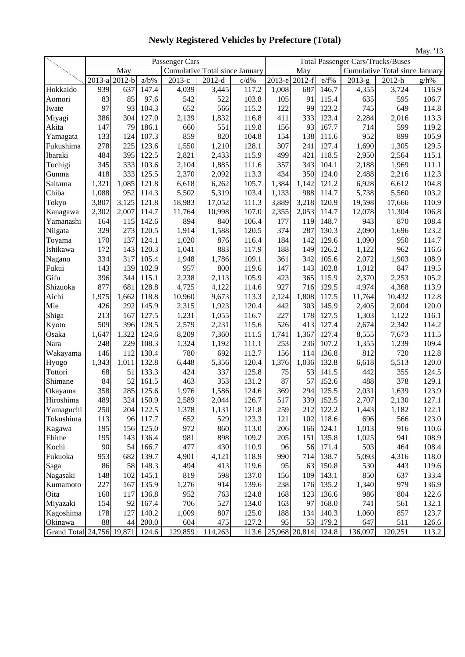|                           | Passenger Cars |                 |                  |                                |                                |               | May. 15<br><b>Total Passenger Cars/Trucks/Buses</b> |                      |                  |          |                                                 |         |
|---------------------------|----------------|-----------------|------------------|--------------------------------|--------------------------------|---------------|-----------------------------------------------------|----------------------|------------------|----------|-------------------------------------------------|---------|
|                           |                |                 |                  |                                |                                |               |                                                     |                      |                  |          |                                                 |         |
|                           |                | May             |                  | Cumulative Total since January |                                |               |                                                     | May                  |                  |          | <b>Cumulative Total since January</b><br>2012-h |         |
|                           | 2013-a<br>939  | $2012-b$<br>637 | $a/b\%$<br>147.4 | 2013-е<br>4,039                | $2012 - \overline{d}$<br>3,445 | c/d%<br>117.2 |                                                     | 2013-e 2012-f<br>687 | $e/f\%$<br>146.7 | $2013-g$ | 3,724                                           | $g/h\%$ |
| Hokkaido                  | 83             | 85              | 97.6             | 542                            | 522                            | 103.8         | 1,008                                               | 91                   | 115.4            | 4,355    |                                                 | 116.9   |
| Aomori                    | 97             |                 |                  |                                |                                |               | 105                                                 |                      |                  | 635      | 595                                             | 106.7   |
| Iwate                     |                | 93              | 104.3            | 652                            | 566                            | 115.2         | 122                                                 | 99                   | 123.2            | 745      | 649                                             | 114.8   |
| Miyagi                    | 386            | 304             | 127.0            | 2,139                          | 1,832                          | 116.8         | 411                                                 | 333                  | 123.4            | 2,284    | 2,016                                           | 113.3   |
| Akita                     | 147            | 79              | 186.1            | 660                            | 551                            | 119.8         | 156                                                 | 93                   | 167.7            | 714      | 599                                             | 119.2   |
| Yamagata                  | 133            | 124             | 107.3            | 859                            | 820                            | 104.8         | 154                                                 | 138                  | 111.6            | 952      | 899                                             | 105.9   |
| Fukushima<br>Ibaraki      | 278            | 225             | 123.6            | 1,550                          | 1,210                          | 128.1         | 307                                                 | 241                  | 127.4            | 1,690    | 1,305                                           | 129.5   |
|                           | 484            | 395             | 122.5            | 2,821                          | 2,433                          | 115.9         | 499                                                 | 421                  | 118.5            | 2,950    | 2,564                                           | 115.1   |
| Tochigi                   | 345            | 333             | 103.6            | 2,104                          | 1,885                          | 111.6         | 357                                                 | 343                  | 104.1            | 2,188    | 1,969                                           | 111.1   |
| Gunma                     | 418            | 333             | 125.5            | 2,370                          | 2,092                          | 113.3         | 434                                                 | 350                  | 124.0            | 2,488    | 2,216                                           | 112.3   |
| Saitama                   | 1,321          | 1,085           | 121.8            | 6,618                          | 6,262                          | 105.7         | 1,384                                               | 1,142                | 121.2            | 6,928    | 6,612                                           | 104.8   |
| Chiba                     | 1,088          | 952             | 114.3            | 5,502                          | 5,319                          | 103.4         | 1,133                                               | 988                  | 114.7            | 5,738    | 5,560                                           | 103.2   |
| Tokyo                     | 3,807          | 3,125           | 121.8            | 18,983                         | 17,052                         | 111.3         | 3,889                                               | 3,218                | 120.9            | 19,598   | 17,666                                          | 110.9   |
| Kanagawa                  | 2,302          | 2,007           | 114.7            | 11,764                         | 10,998                         | 107.0         | 2,355                                               | 2,053                | 114.7            | 12,078   | 11,304                                          | 106.8   |
| Yamanashi                 | 164            | 115             | 142.6            | 894                            | 840                            | 106.4         | 177                                                 | 119                  | 148.7            | 943      | 870                                             | 108.4   |
| Niigata                   | 329            | 273             | 120.5            | 1,914                          | 1,588                          | 120.5         | 374                                                 | 287                  | 130.3            | 2,090    | 1,696                                           | 123.2   |
| Toyama                    | 170            | 137             | 124.1            | 1,020                          | 876                            | 116.4         | 184                                                 | 142                  | 129.6            | 1,090    | 950                                             | 114.7   |
| Ishikawa                  | 172            | 143             | 120.3            | 1,041                          | 883                            | 117.9         | 188                                                 | 149                  | 126.2            | 1,122    | 962                                             | 116.6   |
| Nagano                    | 334            | 317             | 105.4            | 1,948                          | 1,786                          | 109.1         | 361                                                 | 342                  | 105.6            | 2,072    | 1,903                                           | 108.9   |
| Fukui                     | 143            | 139             | 102.9            | 957                            | 800                            | 119.6         | 147                                                 | 143                  | 102.8            | 1,012    | 847                                             | 119.5   |
| Gifu                      | 396            | 344             | 115.1            | 2,238                          | 2,113                          | 105.9         | 423                                                 | 365                  | 115.9            | 2,370    | 2,253                                           | 105.2   |
| Shizuoka                  | 877            | 681             | 128.8            | 4,725                          | 4,122                          | 114.6         | 927                                                 | 716                  | 129.5            | 4,974    | 4,368                                           | 113.9   |
| Aichi                     | 1,975          | 1,662           | 118.8            | 10,960                         | 9,673                          | 113.3         | 2,124                                               | 1,808                | 117.5            | 11,764   | 10,432                                          | 112.8   |
| Mie                       | 426            | 292             | 145.9            | 2,315                          | 1,923                          | 120.4         | 442                                                 | 303                  | 145.9            | 2,405    | 2,004                                           | 120.0   |
| Shiga                     | 213            | 167             | 127.5            | 1,231                          | 1,055                          | 116.7         | 227                                                 | 178                  | 127.5            | 1,303    | 1,122                                           | 116.1   |
| Kyoto                     | 509            | 396             | 128.5            | 2,579                          | 2,231                          | 115.6         | 526                                                 | 413                  | 127.4            | 2,674    | 2,342                                           | 114.2   |
| Osaka                     | 1,647          | 1,322           | 124.6            | 8,209                          | 7,360                          | 111.5         | 1,741                                               | 1,367                | 127.4            | 8,555    | 7,673                                           | 111.5   |
| Nara                      | 248            | 229             | 108.3            | 1,324                          | 1,192                          | 111.1         | 253                                                 | 236                  | 107.2            | 1,355    | 1,239                                           | 109.4   |
| Wakayama                  | 146            | 112             | 130.4            | 780                            | 692                            | 112.7         | 156                                                 | 114                  | 136.8            | 812      | 720                                             | 112.8   |
| Hyogo                     | 1,343          | 1,011           | 132.8            | 6,448                          | 5,356                          | 120.4         | 1,376                                               | 1,036                | 132.8            | 6,618    | 5,513                                           | 120.0   |
| Tottori                   | 68             | 51              | 133.3            | 424                            | 337                            | 125.8         | 75                                                  | 53                   | 141.5            | 442      | 355                                             | 124.5   |
| Shimane                   | 84             | 52              | 161.5            | 463                            | 353                            | 131.2         | 87                                                  | 57                   | 152.6            | 488      | 378                                             | 129.1   |
| Okayama                   | 358            | 285             | 125.6            | 1,976                          | 1,586                          | 124.6         | 369                                                 | 294                  | 125.5            | 2,031    | 1,639                                           | 123.9   |
| Hiroshima                 | 489            | 324             | 150.9            | 2,589                          | 2,044                          | 126.7         | 517                                                 | 339                  | 152.5            | 2,707    | 2,130                                           | 127.1   |
| Yamaguchi                 | 250            | 204             | 122.5            | 1,378                          | 1,131                          | 121.8         | 259                                                 | 212                  | 122.2            | 1,443    | 1,182                                           | 122.1   |
| Tokushima                 | 113            | 96              | 117.7            | 652                            | 529                            | 123.3         | 121                                                 | 102                  | 118.6            | 696      | 566                                             | 123.0   |
| Kagawa                    | 195            | 156             | 125.0            | 972                            | 860                            | 113.0         | 206                                                 | 166                  | 124.1            | 1,013    | 916                                             | 110.6   |
| Ehime                     | 195            | 143             | 136.4            | 981                            | 898                            | 109.2         | 205                                                 | 151                  | 135.8            | 1,025    | 941                                             | 108.9   |
| Kochi                     | 90             | 54              | 166.7            | 477                            | 430                            | 110.9         | 96                                                  | 56                   | 171.4            | 503      | 464                                             | 108.4   |
| Fukuoka                   | 953            | 682             | 139.7            | 4,901                          | 4,121                          | 118.9         | 990                                                 | 714                  | 138.7            | 5,093    | 4,316                                           | 118.0   |
| Saga                      | 86             | 58              | 148.3            | 494                            | 413                            | 119.6         | 95                                                  | 63                   | 150.8            | 530      | 443                                             | 119.6   |
| Nagasaki                  | 148            | 102             | 145.1            | 819                            | 598                            | 137.0         | 156                                                 | 109                  | 143.1            | 850      | 637                                             | 133.4   |
| Kumamoto                  | 227            | 167             | 135.9            | 1,276                          | 914                            | 139.6         | 238                                                 | 176                  | 135.2            | 1,340    | 979                                             | 136.9   |
| Oita                      | 160            | 117             | 136.8            | 952                            | 763                            | 124.8         | 168                                                 | 123                  | 136.6            | 986      | 804                                             | 122.6   |
| Miyazaki                  | 154            | 92              | 167.4            | 706                            | 527                            | 134.0         | 163                                                 | 97                   | 168.0            | 741      | 561                                             | 132.1   |
| Kagoshima                 | 178            | 127             | 140.2            | 1,009                          | 807                            | 125.0         | 188                                                 | 134                  | 140.3            | 1,060    | 857                                             | 123.7   |
| Okinawa                   | 88             | 44              | 200.0            | 604                            | 475                            | 127.2         | 95                                                  | 53                   | 179.2            | 647      | 511                                             | 126.6   |
| Grand Total 24,756 19,871 |                |                 | 124.6            | 129,859                        | 114,263                        | 113.6         | 25,968 20,814 124.8                                 |                      |                  | 136,097  | 120,251                                         | 113.2   |

**Newly Registered Vehicles by Prefecture (Total)**

May. '13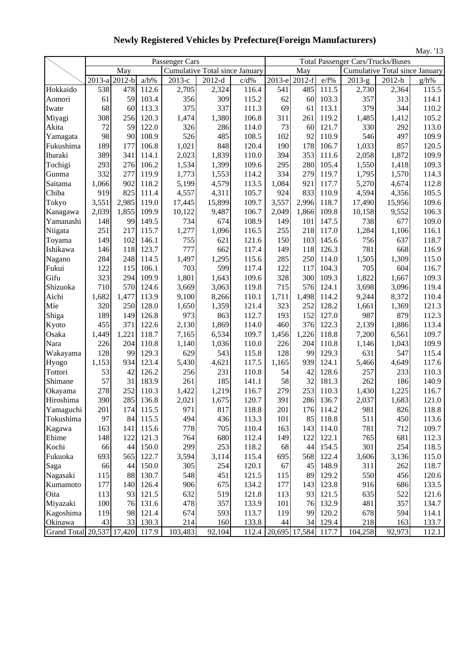|                           |        |          |         |                |                                |       |        |               |       |                                          |                                | May. '13 |
|---------------------------|--------|----------|---------|----------------|--------------------------------|-------|--------|---------------|-------|------------------------------------------|--------------------------------|----------|
|                           |        |          |         | Passenger Cars |                                |       |        |               |       | <b>Total Passenger Cars/Trucks/Buses</b> |                                |          |
|                           |        | May      |         |                | Cumulative Total since January |       |        | May           |       |                                          | Cumulative Total since January |          |
|                           | 2013-a | $2012-b$ | $a/b\%$ | 2013-е         | $2012-d$                       | c/d%  | 2013-е | $2012-f$      | e/f%  | $2013-g$                                 | 2012-h                         | $g/h\%$  |
| Hokkaido                  | 538    | 478      | 112.6   | 2,705          | 2,324                          | 116.4 | 541    | 485           | 111.5 | 2,730                                    | 2,364                          | 115.5    |
| Aomori                    | 61     | 59       | 103.4   | 356            | 309                            | 115.2 | 62     | 60            | 103.3 | 357                                      | 313                            | 114.1    |
| Iwate                     | 68     | 60       | 113.3   | 375            | 337                            | 111.3 | 69     | 61            | 113.1 | 379                                      | 344                            | 110.2    |
| Miyagi                    | 308    | 256      | 120.3   | 1,474          | 1,380                          | 106.8 | 311    | 261           | 119.2 | 1,485                                    | 1,412                          | 105.2    |
| Akita                     | 72     | 59       | 122.0   | 326            | 286                            | 114.0 | 73     | 60            | 121.7 | 330                                      | 292                            | 113.0    |
| Yamagata                  | 98     | 90       | 108.9   | 526            | 485                            | 108.5 | 102    | 92            | 110.9 | 546                                      | 497                            | 109.9    |
| Fukushima                 | 189    | 177      | 106.8   | 1,021          | 848                            | 120.4 | 190    | 178           | 106.7 | 1,033                                    | 857                            | 120.5    |
| Ibaraki                   | 389    | 341      | 114.1   | 2,023          | 1,839                          | 110.0 | 394    | 353           | 111.6 | 2,058                                    | 1,872                          | 109.9    |
| Tochigi                   | 293    | 276      | 106.2   | 1,534          | 1,399                          | 109.6 | 295    | 280           | 105.4 | 1,550                                    | 1,418                          | 109.3    |
| Gunma                     | 332    | 277      | 119.9   | 1,773          | 1,553                          | 114.2 | 334    | 279           | 119.7 | 1,795                                    | 1,570                          | 114.3    |
| Saitama                   | 1,066  | 902      | 118.2   | 5,199          | 4,579                          | 113.5 | 1,084  | 921           | 117.7 | 5,270                                    | 4,674                          | 112.8    |
| Chiba                     | 919    | 825      | 111.4   | 4,557          | 4,311                          | 105.7 | 924    | 833           | 110.9 | 4,594                                    | 4,356                          | 105.5    |
| Tokyo                     | 3,551  | 2,985    | 119.0   | 17,445         | 15,899                         | 109.7 | 3,557  | 2,996         | 118.7 | 17,490                                   | 15,956                         | 109.6    |
| Kanagawa                  | 2,039  | 1,855    | 109.9   | 10,122         | 9,487                          | 106.7 | 2,049  | 1,866         | 109.8 | 10,158                                   | 9,552                          | 106.3    |
| Yamanashi                 | 148    | 99       | 149.5   | 734            | 674                            | 108.9 | 149    | 101           | 147.5 | 738                                      | 677                            | 109.0    |
| Niigata                   | 251    | 217      | 115.7   | 1,277          | 1,096                          | 116.5 | 255    | 218           | 117.0 | 1,284                                    | 1,106                          | 116.1    |
| Toyama                    | 149    | 102      | 146.1   | 755            | 621                            | 121.6 | 150    | 103           | 145.6 | 756                                      | 637                            | 118.7    |
| Ishikawa                  | 146    | 118      | 123.7   | 777            | 662                            | 117.4 | 149    | 118           | 126.3 | 781                                      | 668                            | 116.9    |
| Nagano                    | 284    | 248      | 114.5   | 1,497          | 1,295                          | 115.6 | 285    | 250           | 114.0 | 1,505                                    | 1,309                          | 115.0    |
| Fukui                     | 122    | 115      | 106.1   | 703            | 599                            | 117.4 | 122    | 117           | 104.3 | 705                                      | 604                            | 116.7    |
| Gifu                      | 323    | 294      | 109.9   | 1,801          | 1,643                          | 109.6 | 328    | 300           | 109.3 | 1,822                                    | 1,667                          | 109.3    |
| Shizuoka                  | 710    | 570      | 124.6   | 3,669          | 3,063                          | 119.8 | 715    | 576           | 124.1 | 3,698                                    | 3,096                          | 119.4    |
| Aichi                     | 1,682  | 1,477    | 113.9   | 9,100          | 8,266                          | 110.1 | 1,711  | 1,498         | 114.2 | 9,244                                    | 8,372                          | 110.4    |
| Mie                       | 320    | 250      | 128.0   | 1,650          | 1,359                          | 121.4 | 323    | 252           | 128.2 | 1,661                                    | 1,369                          | 121.3    |
| Shiga                     | 189    | 149      | 126.8   | 973            | 863                            | 112.7 | 193    | 152           | 127.0 | 987                                      | 879                            | 112.3    |
| Kyoto                     | 455    | 371      | 122.6   | 2,130          | 1,869                          | 114.0 | 460    | 376           | 122.3 | 2,139                                    | 1,886                          | 113.4    |
| Osaka                     | 1,449  | 1,221    | 118.7   | 7,165          | 6,534                          | 109.7 | 1,456  | 1,226         | 118.8 | 7,200                                    | 6,561                          | 109.7    |
| Nara                      | 226    | 204      | 110.8   | 1,140          | 1,036                          | 110.0 | 226    | 204           | 110.8 | 1,146                                    | 1,043                          | 109.9    |
| Wakayama                  | 128    | 99       | 129.3   | 629            | 543                            | 115.8 | 128    | 99            | 129.3 | 631                                      | 547                            | 115.4    |
| Hyogo                     | 1,153  | 934      | 123.4   | 5,430          | 4,621                          | 117.5 | 1,165  | 939           | 124.1 | 5,466                                    | 4,649                          | 117.6    |
| Tottori                   | 53     | 42       | 126.2   | 256            | 231                            | 110.8 | 54     | 42            | 128.6 | 257                                      | 233                            | 110.3    |
| Shimane                   | 57     | 31       | 183.9   | 261            | 185                            | 141.1 | 58     | 32            | 181.3 | 262                                      | 186                            | 140.9    |
| Okayama                   | 278    | 252      | 110.3   | 1,422          | 1,219                          | 116.7 | 279    | 253           | 110.3 | 1,430                                    | 1,225                          | 116.7    |
| Hiroshima                 | 390    | 285      | 136.8   | 2,021          | 1,675                          | 120.7 | 391    | 286           | 136.7 | 2,037                                    | 1,683                          | 121.0    |
| Yamaguchi                 | 201    | 174      | 115.5   | 971            | 817                            | 118.8 | 201    | 176           | 114.2 | 981                                      | 826                            | 118.8    |
| Tokushima                 | 97     | 84       | 115.5   | 494            | 436                            | 113.3 | 101    | 85            | 118.8 | 511                                      | 450                            | 113.6    |
| Kagawa                    | 163    | 141      | 115.6   | 778            | 705                            | 110.4 | 163    | 143           | 114.0 | 781                                      | 712                            | 109.7    |
| Ehime                     | 148    | 122      | 121.3   | 764            | 680                            | 112.4 | 149    | 122           | 122.1 | 765                                      | 681                            | 112.3    |
| Kochi                     | 66     | 44       | 150.0   | 299            | 253                            | 118.2 | 68     | 44            | 154.5 | 301                                      | 254                            | 118.5    |
| Fukuoka                   | 693    | 565      | 122.7   | 3,594          | 3,114                          | 115.4 | 695    | 568           | 122.4 | 3,606                                    | 3,136                          | 115.0    |
| Saga                      | 66     | 44       | 150.0   | 305            | 254                            | 120.1 | 67     | 45            | 148.9 | 311                                      | 262                            | 118.7    |
| Nagasaki                  | 115    | 88       | 130.7   | 548            | 451                            | 121.5 | 115    | 89            | 129.2 | 550                                      | 456                            | 120.6    |
| Kumamoto                  | 177    | 140      | 126.4   | 906            | 675                            | 134.2 | 177    | 143           | 123.8 | 916                                      | 686                            | 133.5    |
| Oita                      | 113    | 93       | 121.5   | 632            | 519                            | 121.8 | 113    | 93            | 121.5 | 635                                      | 522                            | 121.6    |
| Miyazaki                  | 100    | 76       | 131.6   | 478            | 357                            | 133.9 | 101    | 76            | 132.9 | 481                                      | 357                            | 134.7    |
| Kagoshima                 | 119    | 98       | 121.4   | 674            | 593                            | 113.7 | 119    | 99            | 120.2 | 678                                      | 594                            | 114.1    |
| Okinawa                   | 43     | 33       | 130.3   | 214            | 160                            | 133.8 | 44     | 34            | 129.4 | 218                                      | 163                            | 133.7    |
| Grand Total 20,537 17,420 |        |          | 117.9   | 103,483        | $\overline{92,104}$            | 112.4 |        | 20,695 17,584 | 117.7 | 104,258                                  | 92,973                         | 112.1    |

**Newly Registered Vehicles by Prefecture(Foreign Manufacturers)**